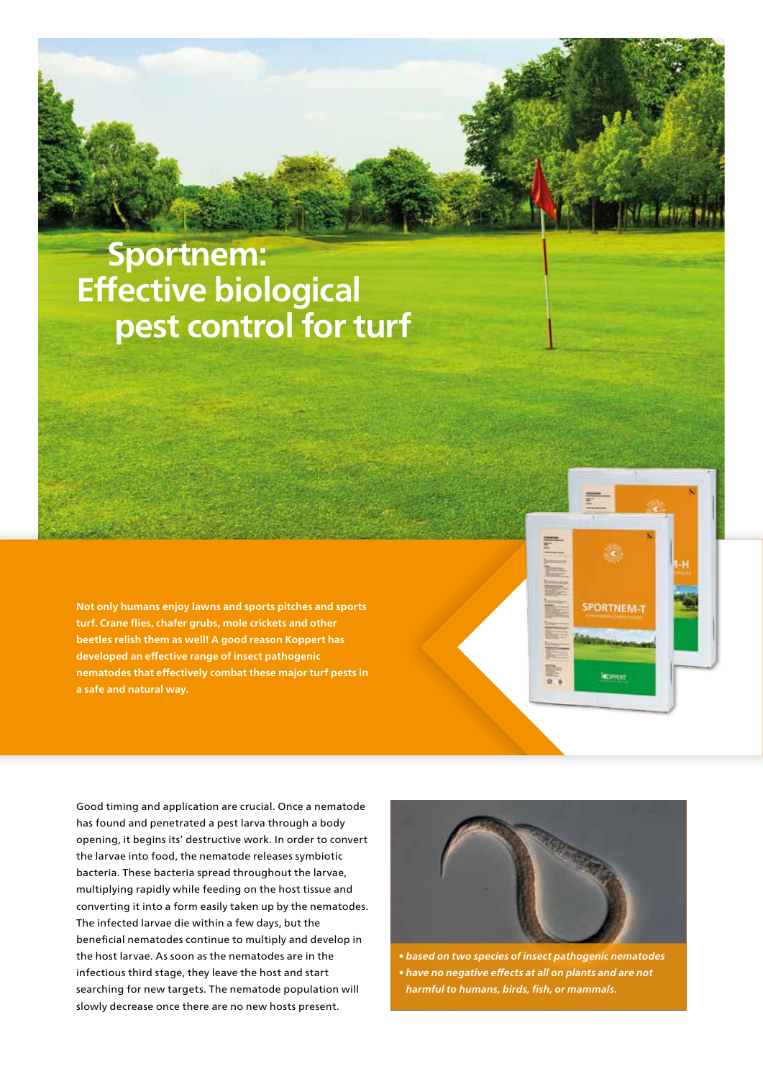## **Sportnem: Effective biological pest control for turf**

**Not only humans enjoy lawns and sports pitches and sports turf. Crane flies, chafer grubs, mole crickets and other beetles relish them as well! A good reason Koppert has developed an effective range of insect pathogenic nematodes that effectively combat these major turf pests in a safe and natural way.**

Good timing and application are crucial. Once a nematode has found and penetrated a pest larva through a body opening, it begins its' destructive work. In order to convert the larvae into food, the nematode releases symbiotic bacteria. These bacteria spread throughout the larvae, multiplying rapidly while feeding on the host tissue and converting it into a form easily taken up by the nematodes. The infected larvae die within a few days, but the beneficial nematodes continue to multiply and develop in the host larvae. As soon as the nematodes are in the infectious third stage, they leave the host and start searching for new targets. The nematode population will slowly decrease once there are no new hosts present.



**SPORTNEM-1** 

*• based on two species of insect pathogenic nematodes • have no negative effects at all on plants and are not harmful to humans, birds, fish, or mammals.*